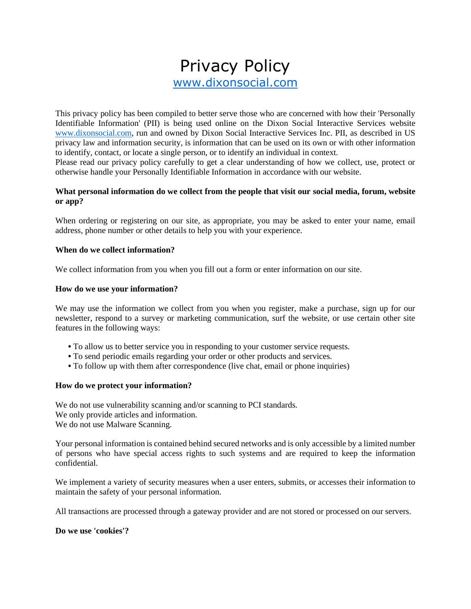# Privacy Policy [www.dixonsocial.com](http://www.dixonsocial.com/)

This privacy policy has been compiled to better serve those who are concerned with how their 'Personally Identifiable Information' (PII) is being used online on the Dixon Social Interactive Services website [www.dixonsocial.com,](http://www.dixonsocial.com/) run and owned by Dixon Social Interactive Services Inc. PII, as described in US privacy law and information security, is information that can be used on its own or with other information to identify, contact, or locate a single person, or to identify an individual in context.

Please read our privacy policy carefully to get a clear understanding of how we collect, use, protect or otherwise handle your Personally Identifiable Information in accordance with our website.

#### **What personal information do we collect from the people that visit our social media, forum, website or app?**

When ordering or registering on our site, as appropriate, you may be asked to enter your name, email address, phone number or other details to help you with your experience.

#### **When do we collect information?**

We collect information from you when you fill out a form or enter information on our site.

#### **How do we use your information?**

We may use the information we collect from you when you register, make a purchase, sign up for our newsletter, respond to a survey or marketing communication, surf the website, or use certain other site features in the following ways:

- **•** To allow us to better service you in responding to your customer service requests.
- **•** To send periodic emails regarding your order or other products and services.
- **•** To follow up with them after correspondence (live chat, email or phone inquiries)

#### **How do we protect your information?**

We do not use vulnerability scanning and/or scanning to PCI standards. We only provide articles and information. We do not use Malware Scanning.

Your personal information is contained behind secured networks and is only accessible by a limited number of persons who have special access rights to such systems and are required to keep the information confidential.

We implement a variety of security measures when a user enters, submits, or accesses their information to maintain the safety of your personal information.

All transactions are processed through a gateway provider and are not stored or processed on our servers.

#### **Do we use 'cookies'?**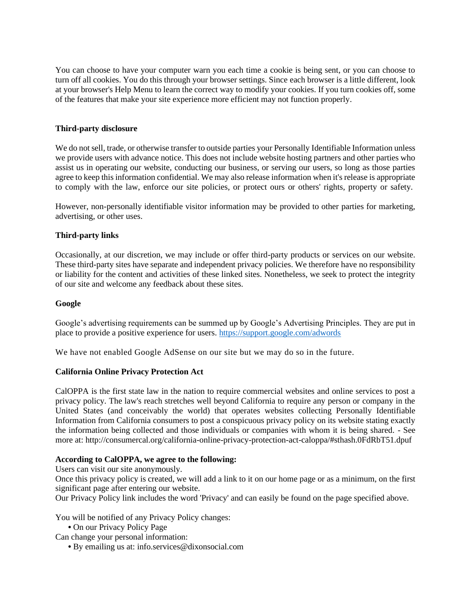You can choose to have your computer warn you each time a cookie is being sent, or you can choose to turn off all cookies. You do this through your browser settings. Since each browser is a little different, look at your browser's Help Menu to learn the correct way to modify your cookies. If you turn cookies off, some of the features that make your site experience more efficient may not function properly.

#### **Third-party disclosure**

We do not sell, trade, or otherwise transfer to outside parties your Personally Identifiable Information unless we provide users with advance notice. This does not include website hosting partners and other parties who assist us in operating our website, conducting our business, or serving our users, so long as those parties agree to keep this information confidential. We may also release information when it's release is appropriate to comply with the law, enforce our site policies, or protect ours or others' rights, property or safety.

However, non-personally identifiable visitor information may be provided to other parties for marketing, advertising, or other uses.

#### **Third-party links**

Occasionally, at our discretion, we may include or offer third-party products or services on our website. These third-party sites have separate and independent privacy policies. We therefore have no responsibility or liability for the content and activities of these linked sites. Nonetheless, we seek to protect the integrity of our site and welcome any feedback about these sites.

#### **Google**

Google's advertising requirements can be summed up by Google's Advertising Principles. They are put in place to provide a positive experience for users.<https://support.google.com/adwords>

We have not enabled Google AdSense on our site but we may do so in the future.

#### **California Online Privacy Protection Act**

CalOPPA is the first state law in the nation to require commercial websites and online services to post a privacy policy. The law's reach stretches well beyond California to require any person or company in the United States (and conceivably the world) that operates websites collecting Personally Identifiable Information from California consumers to post a conspicuous privacy policy on its website stating exactly the information being collected and those individuals or companies with whom it is being shared. - See more at: http://consumercal.org/california-online-privacy-protection-act-caloppa/#sthash.0FdRbT51.dpuf

#### **According to CalOPPA, we agree to the following:**

Users can visit our site anonymously.

Once this privacy policy is created, we will add a link to it on our home page or as a minimum, on the first significant page after entering our website.

Our Privacy Policy link includes the word 'Privacy' and can easily be found on the page specified above.

You will be notified of any Privacy Policy changes:

**•** On our Privacy Policy Page

Can change your personal information:

**•** By emailing us at: info.services@dixonsocial.com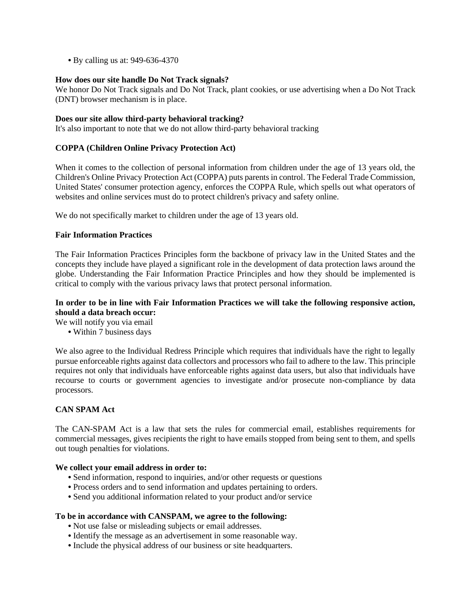**•** By calling us at: 949-636-4370

#### **How does our site handle Do Not Track signals?**

We honor Do Not Track signals and Do Not Track, plant cookies, or use advertising when a Do Not Track (DNT) browser mechanism is in place.

#### **Does our site allow third-party behavioral tracking?**

It's also important to note that we do not allow third-party behavioral tracking

#### **COPPA (Children Online Privacy Protection Act)**

When it comes to the collection of personal information from children under the age of 13 years old, the Children's Online Privacy Protection Act (COPPA) puts parents in control. The Federal Trade Commission, United States' consumer protection agency, enforces the COPPA Rule, which spells out what operators of websites and online services must do to protect children's privacy and safety online.

We do not specifically market to children under the age of 13 years old.

#### **Fair Information Practices**

The Fair Information Practices Principles form the backbone of privacy law in the United States and the concepts they include have played a significant role in the development of data protection laws around the globe. Understanding the Fair Information Practice Principles and how they should be implemented is critical to comply with the various privacy laws that protect personal information.

#### **In order to be in line with Fair Information Practices we will take the following responsive action, should a data breach occur:**

We will notify you via email

**•** Within 7 business days

We also agree to the Individual Redress Principle which requires that individuals have the right to legally pursue enforceable rights against data collectors and processors who fail to adhere to the law. This principle requires not only that individuals have enforceable rights against data users, but also that individuals have recourse to courts or government agencies to investigate and/or prosecute non-compliance by data processors.

#### **CAN SPAM Act**

The CAN-SPAM Act is a law that sets the rules for commercial email, establishes requirements for commercial messages, gives recipients the right to have emails stopped from being sent to them, and spells out tough penalties for violations.

#### **We collect your email address in order to:**

- **•** Send information, respond to inquiries, and/or other requests or questions
- **•** Process orders and to send information and updates pertaining to orders.
- **•** Send you additional information related to your product and/or service

#### **To be in accordance with CANSPAM, we agree to the following:**

- **•** Not use false or misleading subjects or email addresses.
- **•** Identify the message as an advertisement in some reasonable way.
- **•** Include the physical address of our business or site headquarters.